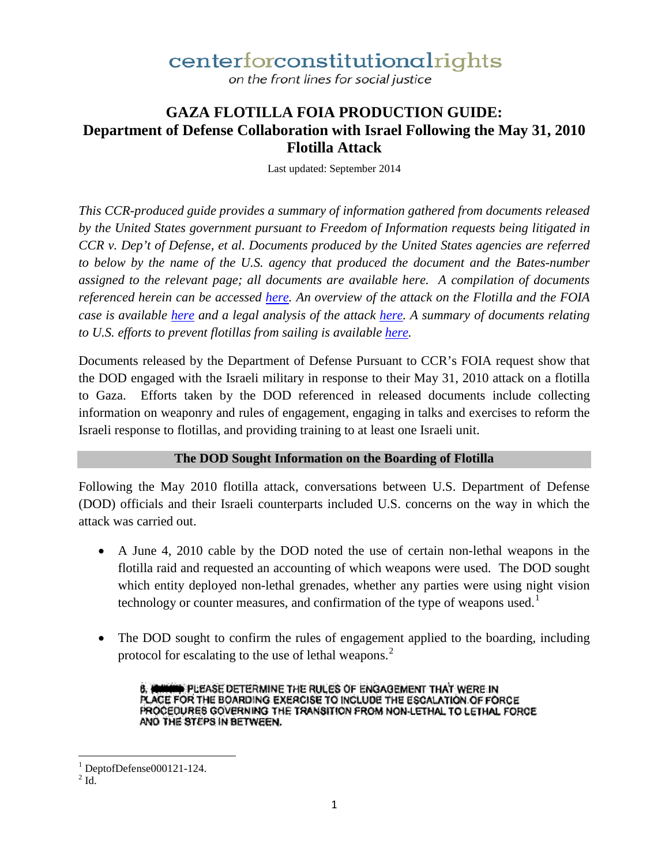on the front lines for social justice

#### **GAZA FLOTILLA FOIA PRODUCTION GUIDE: Department of Defense Collaboration with Israel Following the May 31, 2010 Flotilla Attack**

Last updated: September 2014

*This CCR-produced guide provides a summary of information gathered from documents released by the United States government pursuant to Freedom of Information requests being litigated in CCR v. Dep't of Defense, et al. Documents produced by the United States agencies are referred to below by the name of the U.S. agency that produced the document and the Bates-number assigned to the relevant page; all documents are available here. A compilation of documents referenced herein can be accessed [here.](http://ccrjustice.org/files/Documents_Re_DOD_Flotilla_FOIA_Production_Guide_0.pdf) An overview of the attack on the Flotilla and the FOIA case is available [here](http://ccrjustice.org/ourcases/current-cases/gaza-freedom-flotilla) and a legal analysis of the attack [here.](http://www.ccrjustice.org/files/Center%20for%20Constitutional%20Rights%20Legal%20Analysis%20September%202010.pdf) A summary of documents relating to U.S. efforts to prevent flotillas from sailing is available [here.](http://ccrjustice.org/files/Guide_Efforts_Prevent_Flotillas.pdf)*

Documents released by the Department of Defense Pursuant to CCR's FOIA request show that the DOD engaged with the Israeli military in response to their May 31, 2010 attack on a flotilla to Gaza. Efforts taken by the DOD referenced in released documents include collecting information on weaponry and rules of engagement, engaging in talks and exercises to reform the Israeli response to flotillas, and providing training to at least one Israeli unit.

#### **The DOD Sought Information on the Boarding of Flotilla**

Following the May 2010 flotilla attack, conversations between U.S. Department of Defense (DOD) officials and their Israeli counterparts included U.S. concerns on the way in which the attack was carried out.

- A June 4, 2010 cable by the DOD noted the use of certain non-lethal weapons in the flotilla raid and requested an accounting of which weapons were used. The DOD sought which entity deployed non-lethal grenades, whether any parties were using night vision technology or counter measures, and confirmation of the type of weapons used.<sup>[1](#page-0-0)</sup>
- The DOD sought to confirm the rules of engagement applied to the boarding, including protocol for escalating to the use of lethal weapons.<sup>[2](#page-0-1)</sup>

6. **A HIGH PLEASE DETERMINE THE RULES OF ENGAGEMENT THAT WERE IN** PLACE FOR THE BOARDING EXERCISE TO INCLUDE THE ESCALATION OF FORCE PROCEDURES GOVERNING THE TRANSITION FROM NON-LETHAL TO LETHAL FORCE AND THE STEPS IN BETWEEN.

<span id="page-0-0"></span> $\frac{1}{2}$  DeptofDefense000121-124. l

<span id="page-0-1"></span>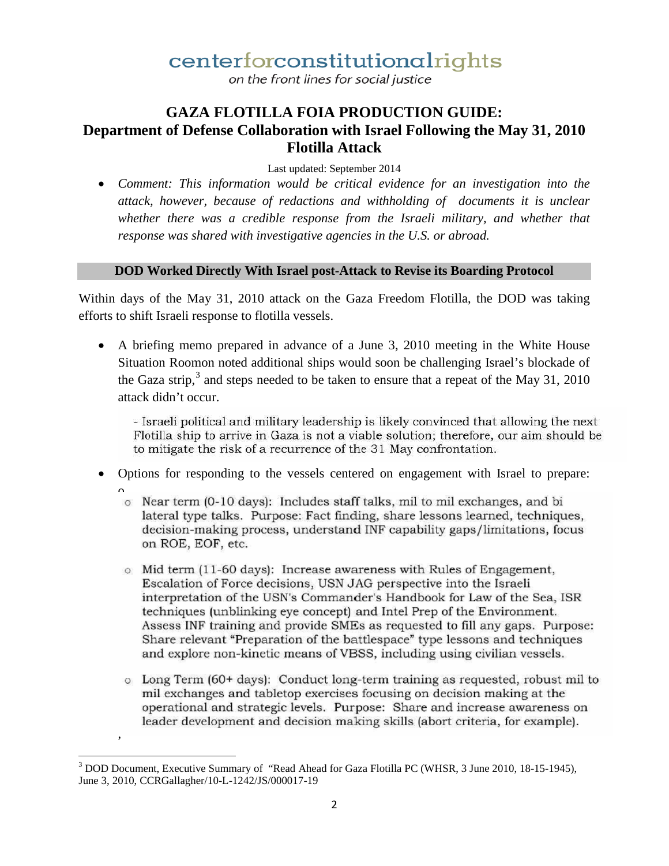on the front lines for social justice

### **GAZA FLOTILLA FOIA PRODUCTION GUIDE: Department of Defense Collaboration with Israel Following the May 31, 2010 Flotilla Attack**

Last updated: September 2014

• *Comment: This information would be critical evidence for an investigation into the attack, however, because of redactions and withholding of documents it is unclear*  whether there was a credible response from the Israeli military, and whether that *response was shared with investigative agencies in the U.S. or abroad.*

#### **DOD Worked Directly With Israel post-Attack to Revise its Boarding Protocol**

Within days of the May 31, 2010 attack on the Gaza Freedom Flotilla, the DOD was taking efforts to shift Israeli response to flotilla vessels.

• A briefing memo prepared in advance of a June 3, 2010 meeting in the White House Situation Roomon noted additional ships would soon be challenging Israel's blockade of the Gaza strip,  $3$  and steps needed to be taken to ensure that a repeat of the May 31, 2010 attack didn't occur.

- Israeli political and military leadership is likely convinced that allowing the next Flotilla ship to arrive in Gaza is not a viable solution; therefore, our aim should be to mitigate the risk of a recurrence of the 31 May confrontation.

- Options for responding to the vessels centered on engagement with Israel to prepare:
	- o Near term (0-10 days): Includes staff talks, mil to mil exchanges, and bi lateral type talks. Purpose: Fact finding, share lessons learned, techniques, decision-making process, understand INF capability gaps/limitations, focus on ROE, EOF, etc.
	- o Mid term (11-60 days): Increase awareness with Rules of Engagement, Escalation of Force decisions, USN JAG perspective into the Israeli interpretation of the USN's Commander's Handbook for Law of the Sea, ISR techniques (unblinking eye concept) and Intel Prep of the Environment. Assess INF training and provide SMEs as requested to fill any gaps. Purpose: Share relevant "Preparation of the battlespace" type lessons and techniques and explore non-kinetic means of VBSS, including using civilian vessels.
	- o Long Term (60+ days): Conduct long-term training as requested, robust mil to mil exchanges and tabletop exercises focusing on decision making at the operational and strategic levels. Purpose: Share and increase awareness on leader development and decision making skills (abort criteria, for example).

,

l

<span id="page-1-0"></span> $3$  DOD Document, Executive Summary of "Read Ahead for Gaza Flotilla PC (WHSR, 3 June 2010, 18-15-1945), June 3, 2010, CCRGallagher/10-L-1242/JS/000017-19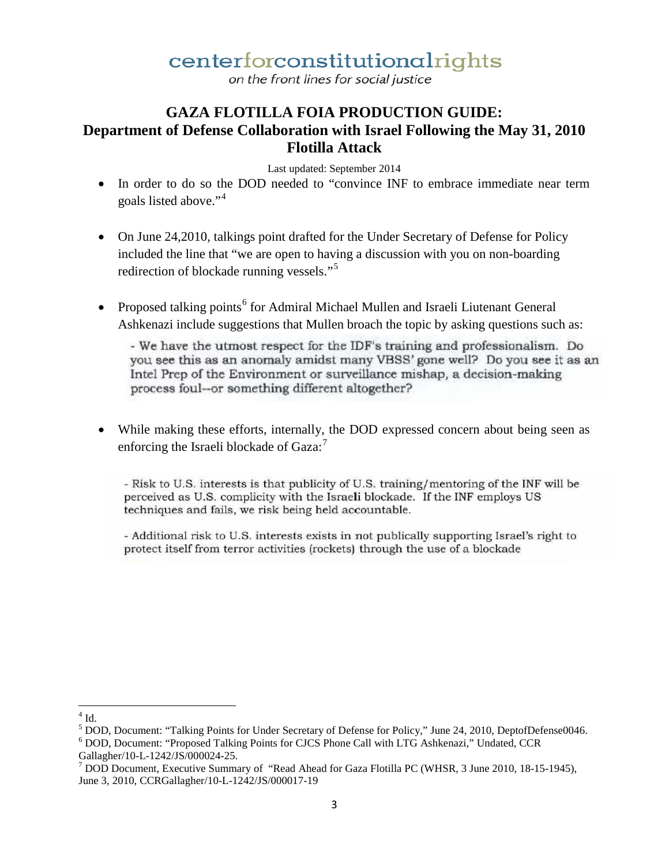on the front lines for social justice

### **GAZA FLOTILLA FOIA PRODUCTION GUIDE: Department of Defense Collaboration with Israel Following the May 31, 2010 Flotilla Attack**

Last updated: September 2014

- In order to do so the DOD needed to "convince INF to embrace immediate near term goals listed above."[4](#page-2-0)
- On June 24, 2010, talkings point drafted for the Under Secretary of Defense for Policy included the line that "we are open to having a discussion with you on non-boarding redirection of blockade running vessels."<sup>[5](#page-2-1)</sup>
- Proposed talking points<sup>[6](#page-2-2)</sup> for Admiral Michael Mullen and Israeli Liutenant General Ashkenazi include suggestions that Mullen broach the topic by asking questions such as:

- We have the utmost respect for the IDF's training and professionalism. Do you see this as an anomaly amidst many VBSS' gone well? Do you see it as an Intel Prep of the Environment or surveillance mishap, a decision-making process foul--or something different altogether?

• While making these efforts, internally, the DOD expressed concern about being seen as enforcing the Israeli blockade of Gaza:<sup>[7](#page-2-3)</sup>

- Risk to U.S. interests is that publicity of U.S. training/mentoring of the INF will be perceived as U.S. complicity with the Israeli blockade. If the INF employs US techniques and fails, we risk being held accountable.

- Additional risk to U.S. interests exists in not publically supporting Israel's right to protect itself from terror activities (rockets) through the use of a blockade

<span id="page-2-0"></span> $4$  Id.  $\overline{\phantom{a}}$ 

<span id="page-2-1"></span> $5$  DOD, Document: "Talking Points for Under Secretary of Defense for Policy," June 24, 2010, DeptofDefense0046.  $6$  DOD, Document: "Proposed Talking Points for CJCS Phone Call with LTG Ashkenazi," Undated, CCR

<span id="page-2-2"></span>Gallagher/10-L-1242/JS/000024-25.<br><sup>7</sup> DOD Document, Executive Summary of "Read Ahead for Gaza Flotilla PC (WHSR, 3 June 2010, 18-15-1945),

<span id="page-2-3"></span>June 3, 2010, CCRGallagher/10-L-1242/JS/000017-19